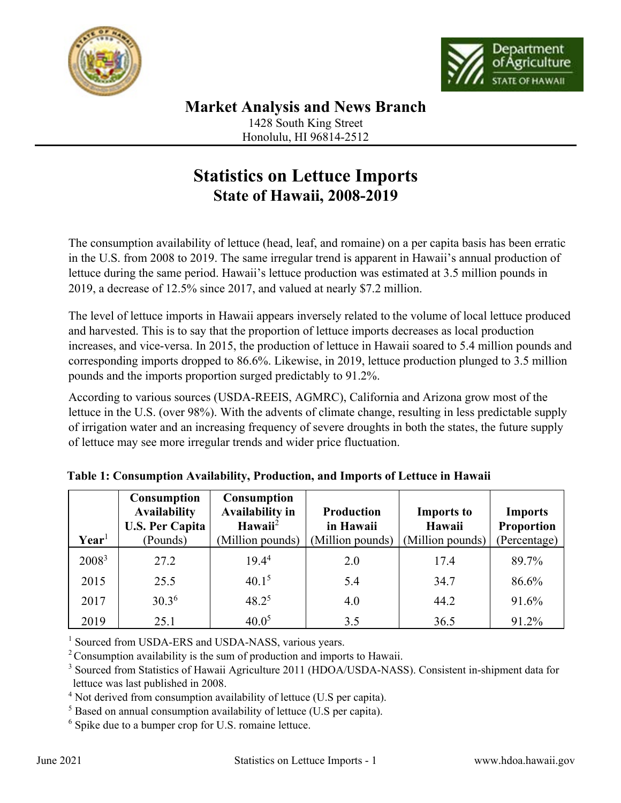



Honolulu, HI 96814-2512

## **Statistics on Lettuce Imports State of Hawaii, 2008-2019**

The consumption availability of lettuce (head, leaf, and romaine) on a per capita basis has been erratic in the U.S. from 2008 to 2019. The same irregular trend is apparent in Hawaii's annual production of lettuce during the same period. Hawaii's lettuce production was estimated at 3.5 million pounds in 2019, a decrease of 12.5% since 2017, and valued at nearly \$7.2 million.

The level of lettuce imports in Hawaii appears inversely related to the volume of local lettuce produced and harvested. This is to say that the proportion of lettuce imports decreases as local production increases, and vice-versa. In 2015, the production of lettuce in Hawaii soared to 5.4 million pounds and corresponding imports dropped to 86.6%. Likewise, in 2019, lettuce production plunged to 3.5 million pounds and the imports proportion surged predictably to 91.2%.

According to various sources (USDA-REEIS, AGMRC), California and Arizona grow most of the lettuce in the U.S. (over 98%). With the advents of climate change, resulting in less predictable supply of irrigation water and an increasing frequency of severe droughts in both the states, the future supply of lettuce may see more irregular trends and wider price fluctuation.

|                   | <b>Consumption</b><br><b>Availability</b><br><b>U.S. Per Capita</b> | <b>Consumption</b><br><b>Availability in</b><br>Hawaii <sup>2</sup> | <b>Production</b><br>in Hawaii | <b>Imports to</b><br>Hawaii | <b>Imports</b><br><b>Proportion</b> |
|-------------------|---------------------------------------------------------------------|---------------------------------------------------------------------|--------------------------------|-----------------------------|-------------------------------------|
| $\mathbf{Year}^1$ | (Pounds)                                                            | (Million pounds)                                                    | (Million pounds)               | (Million pounds)            | (Percentage)                        |
| 2008 <sup>3</sup> | 27.2                                                                | 19.4 <sup>4</sup>                                                   | 2.0                            | 17.4                        | 89.7%                               |
| 2015              | 25.5                                                                | 40.1 <sup>5</sup>                                                   | 5.4                            | 34.7                        | 86.6%                               |
| 2017              | 30.3 <sup>6</sup>                                                   | $48.2^5$                                                            | 4.0                            | 44.2                        | 91.6%                               |
| 2019              | 25.1                                                                | 40.0 <sup>5</sup>                                                   | 3.5                            | 36.5                        | 91.2%                               |

<sup>1</sup> Sourced from USDA-ERS and USDA-NASS, various years.

 $2^2$  Consumption availability is the sum of production and imports to Hawaii.

<sup>3</sup> Sourced from Statistics of Hawaii Agriculture 2011 (HDOA/USDA-NASS). Consistent in-shipment data for lettuce was last published in 2008.

 $4$  Not derived from consumption availability of lettuce (U.S per capita).

 $<sup>5</sup>$  Based on annual consumption availability of lettuce (U.S per capita).</sup>

 $6$  Spike due to a bumper crop for U.S. romaine lettuce.